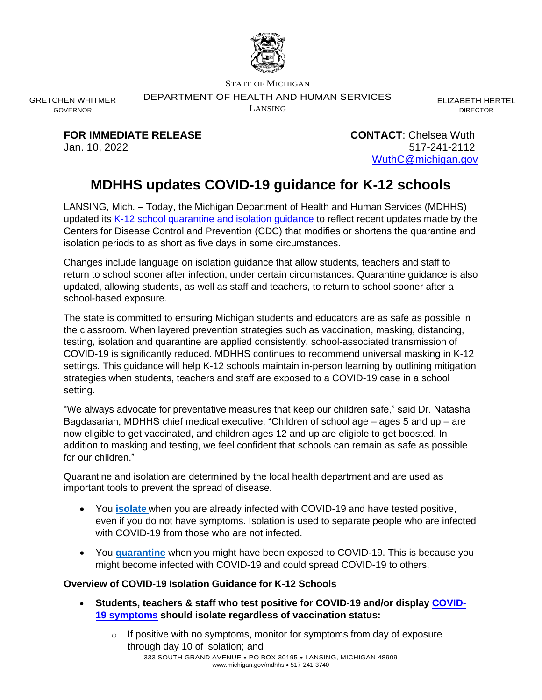

STATE OF MICHIGAN

DEPARTMENT OF HEALTH AND HUMAN SERVICES

LANSING

ELIZABETH HERTEL DIRECTOR

**FOR IMMEDIATE RELEASE CONTACT**: Chelsea Wuth

GRETCHEN WHITMER GOVERNOR

> Jan. 10, 2022 517-241-2112 [WuthC@michigan.gov](mailto:WuthC@michigan.gov)

## **MDHHS updates COVID-19 guidance for K-12 schools**

LANSING, Mich. – Today, the Michigan Department of Health and Human Services (MDHHS) updated its K-12 school [quarantine and isolation](https://www.michigan.gov/documents/coronavirus/MI_Safer_Schools_Guidance_for_Managing_Students_Exposed_to_COVID-19_734750_7.pdf) guidance to reflect recent updates made by the Centers for Disease Control and Prevention (CDC) that modifies or shortens the quarantine and isolation periods to as short as five days in some circumstances.

Changes include language on isolation guidance that allow students, teachers and staff to return to school sooner after infection, under certain circumstances. Quarantine guidance is also updated, allowing students, as well as staff and teachers, to return to school sooner after a school-based exposure.

The state is committed to ensuring Michigan students and educators are as safe as possible in the classroom. When layered prevention strategies such as vaccination, masking, distancing, testing, isolation and quarantine are applied consistently, school-associated transmission of COVID-19 is significantly reduced. MDHHS continues to recommend universal masking in K-12 settings. This guidance will help K-12 schools maintain in-person learning by outlining mitigation strategies when students, teachers and staff are exposed to a COVID-19 case in a school setting.

"We always advocate for preventative measures that keep our children safe," said Dr. Natasha Bagdasarian, MDHHS chief medical executive. "Children of school age – ages 5 and up – are now eligible to get vaccinated, and children ages 12 and up are eligible to get boosted. In addition to masking and testing, we feel confident that schools can remain as safe as possible for our children."

Quarantine and isolation are determined by the local health department and are used as important tools to prevent the spread of disease.

- You **[isolate](https://www.cdc.gov/coronavirus/2019-ncov/community/schools-childcare/k-12-contact-tracing/about-isolation.html)** when you are already infected with COVID-19 and have tested positive, even if you do not have symptoms. Isolation is used to separate people who are infected with COVID-19 from those who are not infected.
- You **[quarantine](https://www.cdc.gov/coronavirus/2019-ncov/your-health/quarantine-isolation.html#quarantine)** when you might have been exposed to COVID-19. This is because you might become infected with COVID-19 and could spread COVID-19 to others.

## **Overview of COVID-19 Isolation Guidance for K-12 Schools**

- **Students, teachers & staff who test positive for COVID-19 and/or display [COVID-](https://www.cdc.gov/coronavirus/2019-ncov/symptoms-testing/symptoms.html)19 [symptoms](https://www.cdc.gov/coronavirus/2019-ncov/symptoms-testing/symptoms.html) should isolate regardless of vaccination status:**
	- 333 SOUTH GRAND AVENUE PO BOX 30195 LANSING, MICHIGAN 48909 www.michigan.gov/mdhhs • 517-241-3740  $\circ$  If positive with no symptoms, monitor for symptoms from day of exposure through day 10 of isolation; and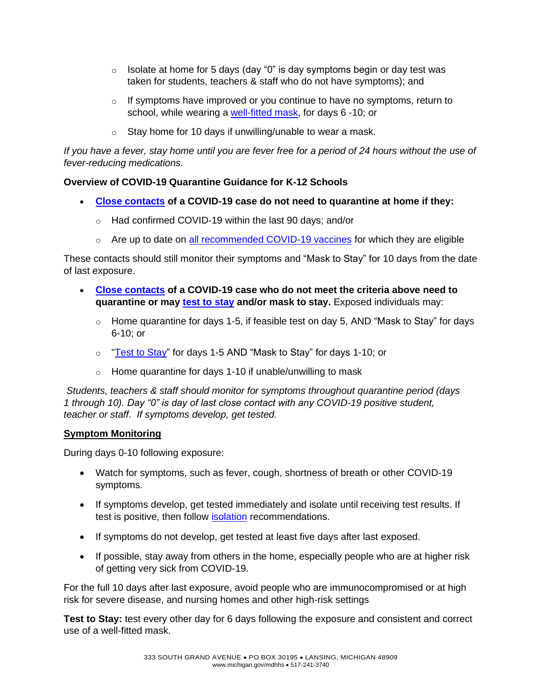- $\circ$  Isolate at home for 5 days (day "0" is day symptoms begin or day test was taken for students, teachers & staff who do not have symptoms); and
- $\circ$  If symptoms have improved or you continue to have no symptoms, return to school, while wearing a [well-fitted](https://www.michigan.gov/coronavirus/0,9753,7-406-100997_100998---,00.html) mask, for days 6 -10; or
- $\circ$  Stay home for 10 days if unwilling/unable to wear a mask.

*If you have a fever, stay home until you are fever free for a period of 24 hours without the use of fever-reducing medications.*

## **Overview of COVID-19 Quarantine Guidance for K-12 Schools**

- **[Close contacts](https://www.cdc.gov/coronavirus/2019-ncov/php/contact-tracing/contact-tracing-plan/appendix.html#contact) of a COVID-19 case do not need to quarantine at home if they:**
	- o Had confirmed COVID-19 within the last 90 days; and/or
	- $\circ$  Are up to date on [all recommended](https://www.cdc.gov/coronavirus/2019-ncov/vaccines/stay-up-to-date.html) COVID-19 vaccines for which they are eligible

These contacts should still monitor their symptoms and "Mask to Stay" for 10 days from the date of last exposure.

- **[Close contacts](https://www.cdc.gov/coronavirus/2019-ncov/php/contact-tracing/contact-tracing-plan/appendix.html#contact) of a COVID-19 case who do not meet the criteria above need to quarantine or may [test to stay](https://www.cdc.gov/media/releases/2021/s1217-Test-To-Stay.html) and/or mask to stay.** Exposed individuals may:
	- $\circ$  Home quarantine for days 1-5, if feasible test on day 5, AND "Mask to Stay" for days 6-10; or
	- o ["Test to Stay"](https://www.cdc.gov/media/releases/2021/s1217-Test-To-Stay.html) for days 1-5 AND "Mask to Stay" for days 1-10; or
	- $\circ$  Home quarantine for days 1-10 if unable/unwilling to mask

*Students, teachers & staff should monitor for symptoms throughout quarantine period (days 1 through 10). Day "0" is day of last close contact with any COVID-19 positive student, teacher or staff*. *If symptoms develop, get tested.*

## **Symptom Monitoring**

During days 0-10 following exposure:

- Watch for symptoms, such as fever, cough, shortness of breath or other COVID-19 symptoms.
- If symptoms develop, get tested immediately and isolate until receiving test results. If test is positive, then follow [isolation](https://www.cdc.gov/coronavirus/2019-ncov/community/schools-childcare/k-12-contact-tracing/about-isolation.html) recommendations.
- If symptoms do not develop, get tested at least five days after last exposed.
- If possible, stay away from others in the home, especially people who are at higher risk of getting very sick from COVID-19.

For the full 10 days after last exposure, avoid people who are immunocompromised or at high risk for severe disease, and nursing homes and other high-risk settings

**Test to Stay:** test every other day for 6 days following the exposure and consistent and correct use of a well-fitted mask.